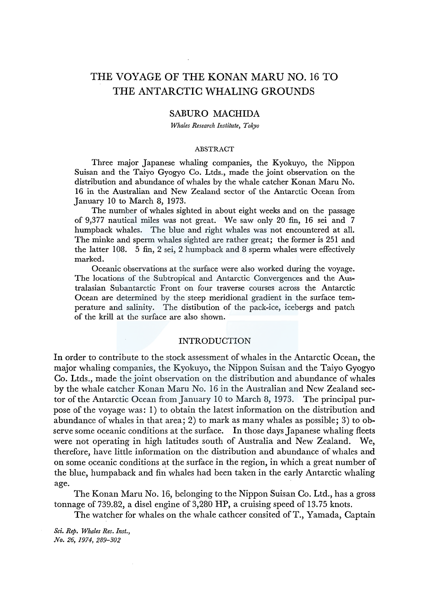# THE VOYAGE OF THE KONAN MARU NO. 16 TO THE ANTARCTIC WHALING GROUNDS

# SABURO MACHIDA

*Whales Research Institute, Tokyo* 

### ABSTRACT

Three major Japanese whaling companies, the Kyokuyo, the Nippon Suisan and the Taiyo Gyogyo Co. Ltds., made the joint observation on the distribution and abundance of whales by the whale catcher Konan Maru No. 16 in the Australian and New Zealand sector of the Antarctic Ocean from January 10 to March 8, 1973.

The number of whales sighted in about eight weeks and on the passage of 9,377 nautical miles was not great. We saw only 20 fin, 16 sei and 7 humpback whales. The blue and right whales was not encountered at all. The minke and sperm whales sighted are rather great; the former is 251 and the latter 108. 5 fin, 2 sei, 2 humpback and 8 sperm whales were effectively marked.

Oceanic observations at the surface were also worked during the voyage. The locations of the Subtropical and Antarctic Convergences and the Australasian Subantarctic Front on four traverse courses across the Antarctic Ocean are determined by the steep meridional gradient in the surface temperature and salinity. The distibution of the pack-ice, icebergs and patch of the krill at the surface are also shown.

# INTRODUCTION

In order to contribute to the stock assessment of whales in the Antarctic Ocean, the major whaling companies, the Kyokuyo, the Nippon Suisan and the Taiyo Gyogyo Co. Ltds., made the joint observation on the distribution and abundance of whales by the whale catcher Konan Maru No. 16 in the Australian and New Zealand sector of the Antarctic Ocean from January 10 to March 8, 1973. The principal purpose of the voyage was: 1) to obtain the latest information on the distribution and abundance of whales in that area; 2) to mark as many whales as possible; 3) to observe some oceanic conditions at the surface. In those days Japanese whaling fleets were not operating in high latitudes south of Australia and New Zealand. We, therefore, have little information on the distribution and abundance of whales and on some oceanic conditions at the surface in the region, in which a great number of the blue, humpaback and fin whales had been taken in the early Antarctic whaling age.

The Konan Maru No. 16, belonging to the Nippon Suisan Co. Ltd., has a gross tonnage of 739.82, a disel engine of 3,280 HP, a cruising speed of 13.75 knots.

The watcher for whales on the whale cathcer consited of T., Yamada, Captain

*Sci. Rep. Whales Res. Inst., No. 26, 1974, 289-302*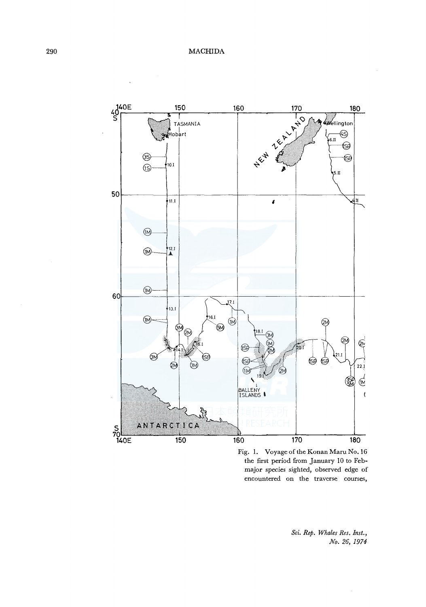

Fig. 1. Voyage of the Konan Maru No. 16 the first period from January 10 to Febmajor species sighted, observed edge of encountered on the traverse courses,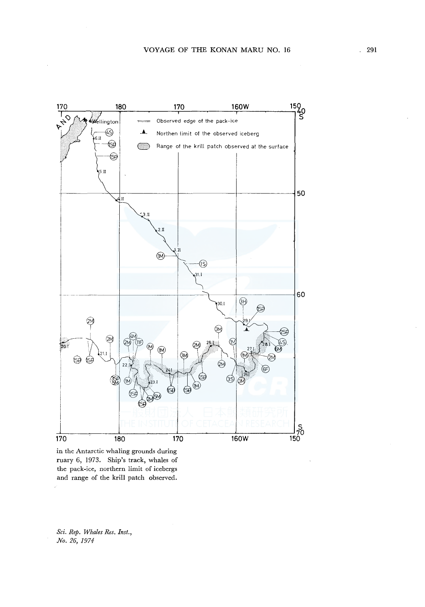

in the Antarctic whaling grounds during ruary 6, 1973. Ship's track, whales of the pack-ice, northern limit of icebergs and range of the krill patch observed.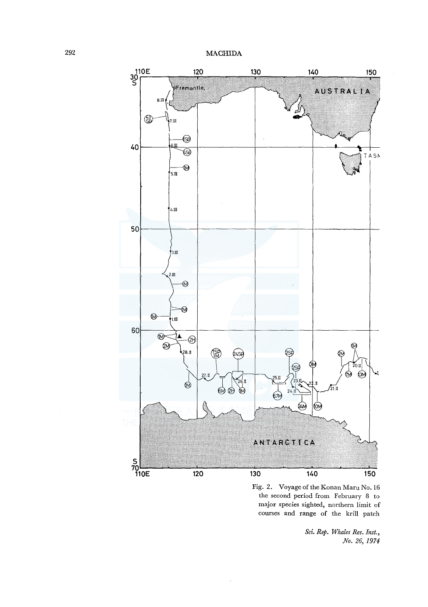

Fig. 2. Voyage of the Konan Maru No. 16 the second period from February 8 to major species sighted, northern limit of courses and range of the krill patch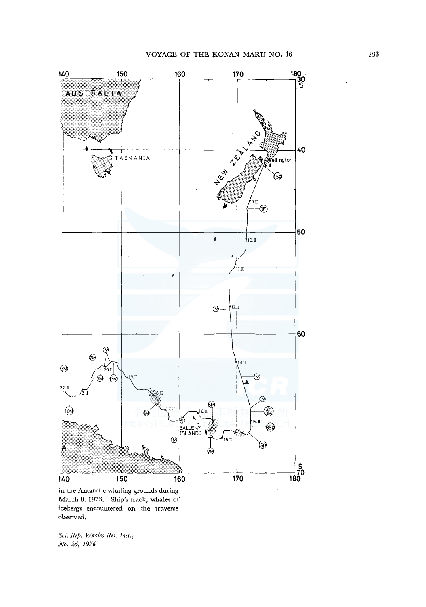

in the Antarctic whaling grounds during March 8, 1973. Ship's track, whales of icebergs encountered on the traverse observed.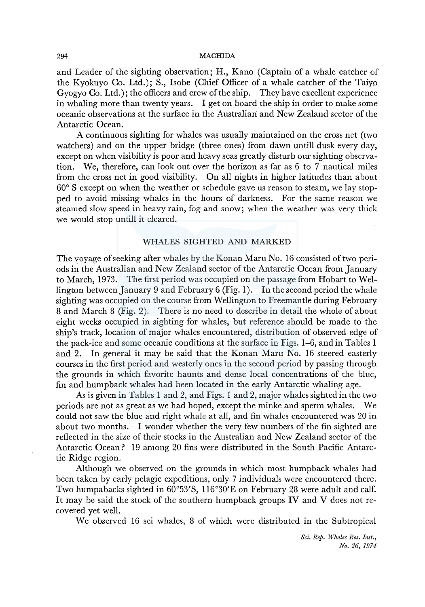### 294 MACHIDA

and Leader of the sighting observation; H., Kano (Captain of a whale catcher of the Kyokuyo Co. Ltd.); S., Isobe (Chief Officer of a whale catcher of the Taiyo Gyogyo Co. Ltd.); the officers and crew of the ship. They have excellent experience in whaling more than twenty years. I get on board the ship in order to make some oceanic observations at the surface in the Australian and New Zealand sector of the Antarctic Ocean.

A continuous sighting for whales was usually maintained on the cross net (two watchers) and on the upper bridge (three ones) from dawn untill dusk every day, except on when visibility is poor and heavy seas greatly disturb our sighting observation. We, therefore, can look out over the horizon as far as 6 to 7 nautical miles from the cross net in good visibility. On all nights in higher latitudes than about 60° S except on when the weather or schedule gave us reason to steam, we lay stopped to avoid missing whales in the hours of darkness. For the same reason we steamed slow speed in heavy rain, fog and snow; when the weather was very thick we would stop untill it cleared.

# WHALES SIGHTED AND MARKED

The voyage of seeking after whales by the Konan Maru No. 16 consisted of two periods in the Australian and New Zealand sector of the Antarctic Ocean from January to March, 1973. The first period was occupied on the passage from Hobart to Wellington between January 9 and February 6 (Fig. 1 ). In the second period the whale sighting was occupied on the course from Wellington to Freemantle during February 8 and March 8 (Fig. 2). There is no need to describe in detail the whole of about eight weeks occupied in sighting for whales, but reference should be made to the ship's track, location of major whales encountered, distribution of observed edge of the pack-ice and some oceanic conditions at the surface in Figs. 1-6, and in Tables 1 and 2. In general it may be said that the Konan Maru No. 16 steered easterly courses in the first period and westerly ones in the second period by passing through the grounds in which favorite haunts and dense local concentrations of the blue, fin and humpback whales had been located in the early Antarctic whaling age.

As is given in Tables 1 and 2, and Figs. 1 and 2, major whales sighted in the two periods are not as great as we had hoped, except the minke and sperm whales. We could not saw the blue and right whale at all, and fin whales encountered was 20 in about two months. I wonder whether the very few numbers of the fin sighted are reflected in the size of their stocks in the Australian and New Zealand sector of the Antarctic Ocean? 19 among 20 fins were distributed in the South Pacific Antarctic Ridge region.

Although we observed on the grounds in which most humpback whales had been taken by early pelagic expeditions, only 7 individuals were encountered there. Two humpabacks sighted in  $60^{\circ}53'$ S, 116°30'E on February 28 were adult and calf. It may be said the stock of the southern humpback groups IV and V does not recovered yet well.

We observed 16 sei whales, 8 of which were distributed in the Subtropical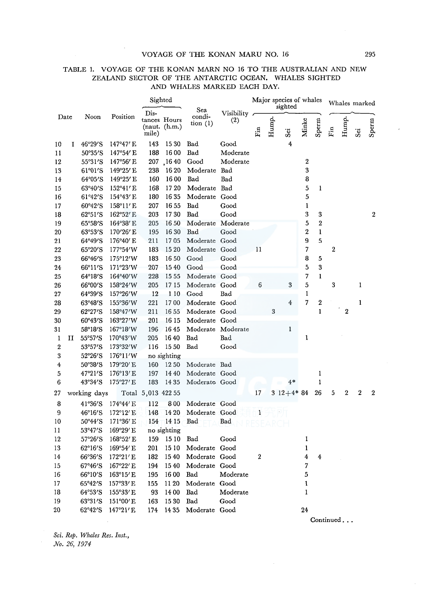## VOYAGE OF THE KONAN MARU NO. 16 295

|    |      |                           |                    |                    |                                | ZEALAIND SECTOR OF THE ANTARGITY OGEAN.<br>AND WHALES MARKED EACH DAY. |                     |                                    |       | MITTER OTALITED |                  |               |                        |                  |                  |                  |
|----|------|---------------------------|--------------------|--------------------|--------------------------------|------------------------------------------------------------------------|---------------------|------------------------------------|-------|-----------------|------------------|---------------|------------------------|------------------|------------------|------------------|
|    |      |                           |                    | Sighted            |                                |                                                                        |                     | Major species of whales<br>sighted |       |                 |                  | Whales marked |                        |                  |                  |                  |
|    | Date | Noon                      | Position           | Dis-<br>mile)      | tances Hours<br>(naut. (h.m.)) | Sea<br>condi-<br>$\[\tan(1)\]$                                         | Visibility ~<br>(2) | Fin                                | Hump. | Sei             | Minke            | Sperm         | $\mathbf{F}\mathbf{m}$ | Hump.            | Sei              | Sperm            |
| 10 | 1    | 46°29'S                   | 147°47' E          | 143                | 15 30                          | Bad                                                                    | Good                |                                    |       | 4               |                  |               |                        |                  |                  |                  |
| 11 |      | 50°35'S                   | 147°54′ E          | 188                | 1600                           | Bad                                                                    | Moderate            |                                    |       |                 |                  |               |                        |                  |                  |                  |
| 12 |      | 55°31'S                   | $147°56'$ E        | 207                | .1640                          | Good                                                                   | Moderate            |                                    |       |                 | 2                |               |                        |                  |                  |                  |
| 13 |      | $61^{\circ}01^{\prime}S$  | 149°25′ E          | 238                | 1620                           | Moderate Bad                                                           |                     |                                    |       |                 | 3                |               |                        |                  |                  |                  |
| 14 |      | $64^{\circ}05^{\prime}S$  | 149°25' E          | 160                | 1600                           | Bad                                                                    | Bad                 |                                    |       |                 | 8                |               |                        |                  |                  |                  |
| 15 |      | 63°40'S                   | 152°41′ E          | 168                | 17 20                          | Moderate Bad                                                           |                     |                                    |       |                 | 5                | ı             |                        |                  |                  |                  |
| 16 |      | $61^{\circ}42^{\prime}S$  | $154^{\circ}43'$ E | 180                | 1635                           | Moderate Good                                                          |                     |                                    |       |                 | 5                |               |                        |                  |                  |                  |
| 17 |      | $60^{\circ}42^{\prime}S$  | $158^{\circ}11'$ E | 207                | 16 55                          | Bad                                                                    | Good                |                                    |       |                 | 1                |               |                        |                  |                  |                  |
| 18 |      | $62^{\circ}51^{\prime}S$  | 162°52' E          | 203                | 1730                           | Bad                                                                    | Good                |                                    |       |                 | 3                | 3             |                        |                  |                  | $\boldsymbol{2}$ |
| 19 |      | 65°58′S                   | $164^{\circ}38'$ E | 205                | 16 50                          |                                                                        | Moderate Moderate   |                                    |       |                 | 5                | 2             |                        |                  |                  |                  |
| 20 |      | $63^{\circ}53^{\prime}$ S | 170'26'E           | 195                | 16 30                          | Bad                                                                    | Good                |                                    |       |                 | $\boldsymbol{2}$ | $\mathbf{1}$  |                        |                  |                  |                  |
| 21 |      | 64°49'S                   | 176°40′ E          | 211                | 1705                           | Moderate Good                                                          |                     |                                    |       |                 | 9                | 5             |                        |                  |                  |                  |
| 22 |      | 65°20′S                   | 177°54'W           | 183                | 1520                           | Moderate Good                                                          |                     | 11                                 |       |                 | 7                |               | 2                      |                  |                  |                  |
| 23 |      | $66^{\circ}46^{\prime}$ S | 175°12'W           | 183                | 16 50                          | Good                                                                   | Good                |                                    |       |                 | 8                | 5             |                        |                  |                  |                  |
| 24 |      | 66°11'S                   | 171°23'W           | 207                | 1540                           | Good                                                                   | Good                |                                    |       |                 | 5                | 3             |                        |                  |                  |                  |
| 25 |      | $64^{\circ}18^{\prime}$ S | 164°40'W           | 228                | 15 55                          | Moderate Good                                                          |                     |                                    |       |                 | 7                | 1             |                        |                  |                  |                  |
| 26 |      | 66°00'S                   | 158°24'W           | 205                | 1715                           | Moderate Good                                                          |                     | 6                                  |       | 3               | 5                |               | 3                      |                  | 1                |                  |
| 27 |      | 64°39'S                   | $157^{\circ}26'W$  | 12                 | 1 10                           | Good                                                                   | Bad                 |                                    |       |                 | 1                |               |                        |                  |                  |                  |
| 28 |      | 63°48′S                   | 155°36'W           | 221                | 1700                           | Moderate Good                                                          |                     |                                    |       | 4               | 7                | 2             |                        |                  | 1                |                  |
| 29 |      | 62°27'S                   | 158°47'W           | 211                | 16 55                          | Moderate Good                                                          |                     |                                    | 3     |                 |                  | 1             |                        | $\boldsymbol{2}$ |                  |                  |
| 30 |      | 60°43'S                   | 163°27'W           | 201                | 16 15                          | Moderate Good                                                          |                     |                                    |       |                 |                  |               |                        |                  |                  |                  |
| 31 |      | 58°18′S                   | $167^{\circ}18'$ W | 196                | 1645                           | Moderate Moderate                                                      |                     |                                    |       | 1               |                  |               |                        |                  |                  |                  |
| 1  | п    | 55°57'S                   | 170°43'W           | 205                | 1640                           | Bad                                                                    | $_{\rm Bad}$        |                                    |       |                 | 1                |               |                        |                  |                  |                  |
| 2  |      | 53°57'S                   | 173°32'W           | 116                | 15 50                          | Bad                                                                    | Good                |                                    |       |                 |                  |               |                        |                  |                  |                  |
| 3  |      | 52°26′S                   | $176^{\circ}11'W$  |                    | no sighting                    |                                                                        |                     |                                    |       |                 |                  |               |                        |                  |                  |                  |
| 4  |      | 50°38'S                   | 179°20' E          | 160                | 1250                           | Moderate Bad                                                           |                     |                                    |       |                 |                  |               |                        |                  |                  |                  |
| 5  |      | 47°21'S                   | $176^{\circ}13'$ E | 197                | 14 40                          | Moderate Good                                                          |                     |                                    |       |                 |                  | 1             |                        |                  |                  |                  |
| 6  |      | 43°34′S                   | 175°27′ E          | 183                | 14 35                          | Moderate Good                                                          |                     |                                    |       | $4*$            |                  | 1             |                        |                  |                  |                  |
| 27 |      | working days              |                    | Total 5,013 422 55 |                                |                                                                        |                     | 17                                 |       | 3 $12+4*84$     |                  | 26            | 5                      | 2                | $\boldsymbol{2}$ | $\boldsymbol{2}$ |
| 8  |      | 41°36'S                   | 174°44' E          | 112                | 800                            | Moderate Good                                                          |                     |                                    |       |                 |                  |               |                        |                  |                  |                  |
| 9  |      | $46^{\circ}16^{\prime}$ S | $172^{\circ}12'$ E | 148                | 14 20                          | Moderate Good                                                          |                     | 1                                  |       |                 |                  |               |                        |                  |                  |                  |
| 10 |      | 50°44'S                   | 171°36' E          | 154                | - 14 15                        | Bad                                                                    | Bad                 |                                    |       |                 |                  |               |                        |                  |                  |                  |
| 11 |      | 53°47′S                   | 169°29' E          |                    | no sighting                    |                                                                        |                     |                                    |       |                 |                  |               |                        |                  |                  |                  |
| 12 |      | 57°26'S                   | 168°52' E          | 159                | 1510                           | Bad                                                                    | Good                |                                    |       |                 | 1                |               |                        |                  |                  |                  |
| 13 |      | 62°16'S                   | 169°54' E          | 201                | 1510                           | Moderate Good                                                          |                     |                                    |       |                 | $\mathbf{1}$     |               |                        |                  |                  |                  |
| 14 |      | $66^{\circ}36^{\prime}$ S | $172^{\circ}21'$ E | 182                | 1540                           | Moderate Good                                                          |                     | 2                                  |       |                 | 4                | 4             |                        |                  |                  |                  |
| 15 |      | 67°46'S                   | 167°22' E          | 194                | 1540                           | Moderate Good                                                          |                     |                                    |       |                 | 7                |               |                        |                  |                  |                  |
| 16 |      | $66^{\circ}10^{\prime}$ S | $163^{\circ}15'$ E | 195                | 1600                           | Bad                                                                    | Moderate            |                                    |       |                 | 5                |               |                        |                  |                  |                  |
| 17 |      | $65^{\circ}42^{\prime}S$  | $157^{\circ}33'$ E | 155                | 11 20                          | Moderate Good                                                          |                     |                                    |       |                 | 1                |               |                        |                  |                  |                  |
| 18 |      | 64°53'S                   | 155°33'E           | 93                 | 14 00                          | Bad                                                                    | Moderate            |                                    |       |                 | 1                |               |                        |                  |                  |                  |
| 19 |      | 63°31'S                   | 151°00'E           | 163                | 1530                           | Bad                                                                    | Good                |                                    |       |                 |                  |               |                        |                  |                  |                  |
| 20 |      | $62^{\circ}42^{\prime}S$  | 147°21′ E          | 174                | 14 35                          | Moderate Good                                                          |                     |                                    |       |                 | 24               |               |                        |                  |                  |                  |
|    |      |                           |                    |                    |                                |                                                                        |                     |                                    |       |                 |                  |               |                        |                  |                  |                  |

# TABLE I. VOYAGE OF THE KONAN MARN NO 16 TO THE AUSTRALIAN AND NEW ZEALAND SECTOR OF THE ANTARCTIC OCEAN. WHALES SIGHTED

*Sci. Rep. Whales Res. Inst., No. 26, 1974* 

Continued ...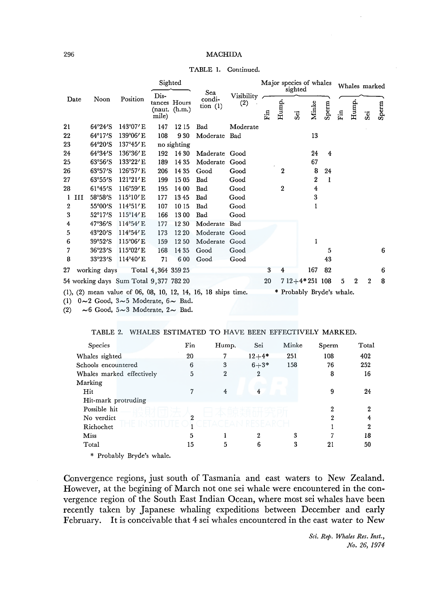|                  |                           |                                        | Sighted            |                                | Sea                  |                   |     |                  | sighted        | Major species of whales |                |                      | Whales marked |              |       |
|------------------|---------------------------|----------------------------------------|--------------------|--------------------------------|----------------------|-------------------|-----|------------------|----------------|-------------------------|----------------|----------------------|---------------|--------------|-------|
| Date             | Noon                      | Position                               | Dis-<br>mile)      | tances Hours<br>(naut. (h.m.)) | condi-<br>tion $(1)$ | Visibility<br>(2) | Fin | Hump.            | $\ddot{s}$     | Minke                   | Sperm          | $\operatorname{Fin}$ | Hump.         | .<br>Sei     | Sperm |
| 21               | $64^{\circ}24^{\prime}S$  | $143^{\circ}07'$ E                     | 147                | 1215                           | Bad                  | Moderate          |     |                  |                |                         |                |                      |               |              |       |
| 22               | $64^{\circ}17^{\prime}S$  | 139°06'E                               | 108                | 930                            | Moderate             | Bad               |     |                  |                | 13                      |                |                      |               |              |       |
| 23               | $64^{\circ}20^{\prime}S$  | 137°45'E                               |                    | no sighting                    |                      |                   |     |                  |                |                         |                |                      |               |              |       |
| 24               | $64^{\circ}34^{\prime}$ S | 136°36' E                              | 192                | 14 30                          | Maderate Good        |                   |     |                  |                | 24                      | $\overline{4}$ |                      |               |              |       |
| 25               | 63°56′S                   | $133^{\circ}22'$ E                     | 189                | 14 35                          | Moderate             | Good              |     |                  |                | 67                      |                |                      |               |              |       |
| 26               | 63°57′S                   | 126°57′ E                              | 206                | 14 35                          | Good                 | Good              |     | 2                |                | 8                       | 24             |                      |               |              |       |
| 27               | $63^{\circ}55^{\prime}$ S | 121°21′ E                              | 199                | 1505                           | Bad                  | Good              |     |                  |                | $\boldsymbol{2}$        | 1              |                      |               |              |       |
| 28               | $61^{\circ}45^{\prime}S$  | 116°59'E                               | 195                | 14 00                          | Bad                  | Good              |     | $\boldsymbol{2}$ |                | 4                       |                |                      |               |              |       |
| $1$ $III$        | 58°58′S                   | $115^{\circ}10$ 'E                     | 177                | 1345                           | Bad                  | Good              |     |                  |                | 3                       |                |                      |               |              |       |
| $\boldsymbol{2}$ | 55°00'S                   | $114^{\circ}51'E$                      | 107                | 1015                           | Bad                  | Good              |     |                  |                | 1                       |                |                      |               |              |       |
| 3                | $52^{\circ}17^{\prime}S$  | $115^{\circ}14$ /E                     | 166                | 1300                           | Bad                  | Good              |     |                  |                |                         |                |                      |               |              |       |
| 4                | 47°36′S                   | $114^{\circ}54' \text{ E}$             | 177                | 12 30                          | Moderate             | Bad               |     |                  |                |                         |                |                      |               |              |       |
| 5                | $43^{\circ}20^{\prime}$ S | $114^{\circ}54' \text{ E}$             | 173                | 12 20                          | Moderate Good        |                   |     |                  |                |                         |                |                      |               |              |       |
| 6                | 39°52'S                   | 115°06'E                               | 159                | 12 50                          | Moderate             | Good              |     |                  |                | 1                       |                |                      |               |              |       |
| 7                | 36°23′S                   | $115^{\circ}02$ 'E                     | 168                | 14 35                          | Good                 | Good              |     |                  |                |                         | 5              |                      |               |              | 6     |
| 8                | $33^{\circ}23^{\prime}S$  | $114^{\circ}40'$ E                     | 71                 | 600                            | Good                 | Good              |     |                  |                |                         | 43             |                      |               |              |       |
| 27               | working days              |                                        | Total 4,364 359 25 |                                |                      |                   | 3   | 4                |                | 167                     | 82             |                      |               |              | 6     |
|                  |                           | 54 working days Sum Total 9,377 782 20 |                    |                                |                      |                   | 20  |                  | $712+4*251108$ |                         |                | 5                    | $\mathbf 2$   | $\mathbf{2}$ | 8     |

TABLE I. Continued.

(1)  $0 \sim 2$  Good,  $3 \sim 5$  Moderate,  $6 \sim$  Bad.<br>(2)  $\sim 6$  Good,  $5 \sim 3$  Moderate,  $2 \sim$  Bad.  $\sim$  6 Good, 5 $\sim$ 3 Moderate, 2 $\sim$  Bad.

## TABLE 2. WHALES ESTIMATED TO HAVE BEEN EFFECTIVELY MARKED.

| Species                                                                                                                                                                                                                                                | Fin | Hump.          | Sei       | Minke | Sperm | Total |
|--------------------------------------------------------------------------------------------------------------------------------------------------------------------------------------------------------------------------------------------------------|-----|----------------|-----------|-------|-------|-------|
| Whales sighted                                                                                                                                                                                                                                         | 20  |                | $12 + 4*$ | 251   | 108   | 402   |
| Schools encountered                                                                                                                                                                                                                                    | 6   | 3              | $6 + 3*$  | 158   | 76    | 252   |
| Whales marked effectively                                                                                                                                                                                                                              | 5   | $\overline{2}$ | 2         |       | 8     | 16    |
| Marking                                                                                                                                                                                                                                                |     |                |           |       |       |       |
| Hit                                                                                                                                                                                                                                                    | 7   | 4              | 4         |       | 9     | 24    |
| Hit-mark protruding                                                                                                                                                                                                                                    |     |                |           |       |       |       |
| Possible hit                                                                                                                                                                                                                                           |     |                |           |       | 2     | 2     |
| No verdict                                                                                                                                                                                                                                             | 2   |                |           |       | 2     | 4     |
| Richochet                                                                                                                                                                                                                                              |     |                |           |       |       | 2     |
| Miss                                                                                                                                                                                                                                                   | 5   |                | 2         | 3     |       | 18    |
| Total                                                                                                                                                                                                                                                  | 15  | 5              | 6         | 3     | 21    | 50    |
| $\Phi$ = $D_{11}$ = $D_{12}$ = $D_{21}$ = $D_{22}$ = $D_{21}$ = $D_{22}$ = $D_{21}$ = $D_{22}$ = $D_{21}$ = $D_{22}$ = $D_{21}$ = $D_{22}$ = $D_{21}$ = $D_{22}$ = $D_{21}$ = $D_{22}$ = $D_{21}$ = $D_{22}$ = $D_{21}$ = $D_{22}$ = $D_{21}$ = $D_{2$ |     |                |           |       |       |       |

\* Probably Bryde's whale.

Convergence regions, just south of Tasmania and east waters to New Zealand. However, at the begining of March not one sei whale were encountered in the convergence region of the South East Indian Ocean, where most sei whales have been recently taken by Japanese whaling expeditions between December and early February. It is conceivable that 4 sei whales encountered in the east water to New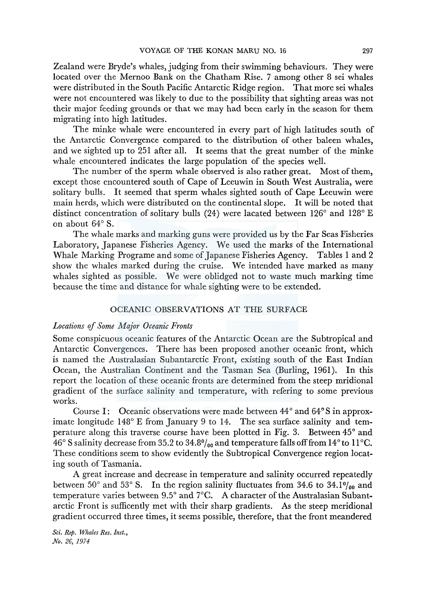Zealand were Bryde's whales, judging from their swimming behaviours. They were located over the Mernoo Bank on the Chatham Rise. 7 among other 8 sei whales were distributed in the South Pacific Antarctic Ridge region. That more sei whales were not encountered was likely to due to the possibility that sighting areas was not their major feeding grounds or that we may had been early in the season for them migrating into high latitudes.

The minke whale were encountered in every part of high latitudes south of the Antarctic Convergence compared to the distribution of other baleen whales, and we sighted up to 251 after all. It seems that the great number of the minke whale encountered indicates the large population of the species well.

The number of the sperm whale observed is also rather great. Most of them, except those encountered south of Cape of Leeuwin in South West Australia, were solitary bulls. It seemed that sperm whales sighted south of Cape Leeuwin were main herds, which were distributed on the continental slope. It will be noted that distinct concentration of solitary bulls (24) were lacated between  $126^{\circ}$  and  $128^{\circ}$  E on about 64° S.

The whale marks and marking guns were provided us by the Far Seas Fisheries Laboratory, Japanese Fisheries Agency. We used the marks of the International Whale Marking Programe and some of Japanese Fisheries Agency. Tables 1and2 show the whales marked during the cruise. We intended have marked as many whales sighted as possible. We were oblidged not to waste much marking time because the time and distance for whale sighting were to be extended.

## OCEANIC OBSERVATIONS AT THE SURFACE

## *Locations of Some Major Oceanic Fronts*

Some conspicuous oceanic features of the Antarctic Ocean are the Subtropical and Antarctic Convergences. There has been proposed another oceanic front, which is named the Australasian Subantarctic Front, existing south of the East Indian Ocean, the Australian Continent and the Tasman Sea (Burling, 1961). In this report the location of these oceanic fronts are determined from the steep mridional gradient of the surface salinity and temperature, with refering to some previous works.

Course I: Oceanic observations were made between  $44^{\circ}$  and  $64^{\circ}$ S in approximate longitude 148° E from January 9 to 14. The sea surface salinity and temperature along this traverse course have been plotted in Fig. 3. Between 45° and 46° S salinity decrease from 35.2 to 34.8 $\frac{6}{100}$  and temperature falls off from 14° to 11°C. These conditions seem to show evidently the Subtropical Convergence region locating south of Tasmania.

A great increase and decrease in temperature and salinity occurred repeatedly between  $50^{\circ}$  and  $53^{\circ}$  S. In the region salinity fluctuates from 34.6 to 34.1% and temperature varies between 9.5° and 7°C. A character of the Australasian Subantarctic Front is sufficently met with their sharp gradients. As the steep meridional gradient occurred three times, it seems possible, therefore, that the front meandered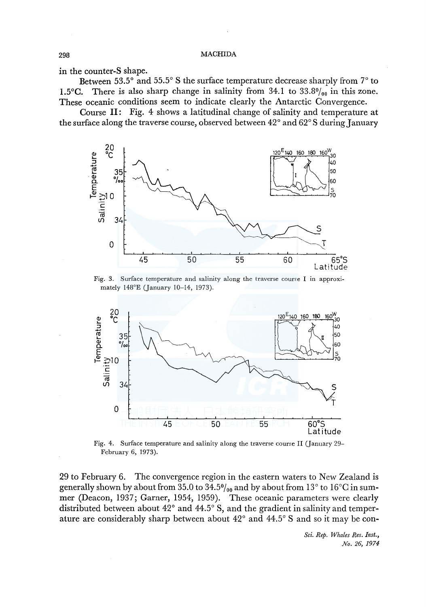in the counter-S shape.

Between 53.5 $\degree$  and 55.5 $\degree$  S the surface temperature decrease sharply from  $7\degree$  to 1.5°C. There is also sharp change in salinity from 34.1 to  $33.8\%$ <sub>00</sub> in this zone. These oceanic conditions seem to indicate clearly the Antarctic Convergence.

Course II: Fig. 4 shows a latitudinal change of salinity and temperature at the surface along the traverse course, observed between  $42^{\circ}$  and  $62^{\circ}$ S during January



Fig. 3. Surface temperature and salinity along the traverse coune I in approximately !48°E (January 10-14, 1973).



Fig. 4. Surface temperature and salinity along the traverse course II (January 29- February 6, 1973).

29 to February 6. The convergence region in the eastern waters to New Zealand is generally shown by about from 35.0 to  $34.5\%_{00}$  and by about from  $13^{\circ}$  to  $16^{\circ}\text{C}$  in summer (Deacon, 1937; Garner, 1954, 1959). These oceanic parameters were clearly distributed between about 42° and 44.5° S, and the gradient in salinity and temperature are considerably sharp between about  $42^{\circ}$  and  $44.5^{\circ}$  S and so it may be con-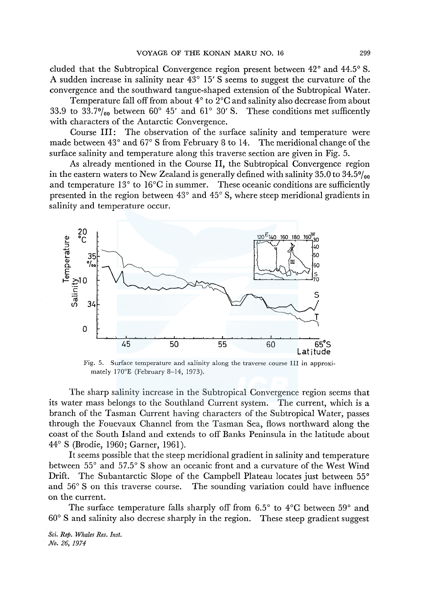eluded that the Subtropical Convergence region present between 42° and 44.5° S. A sudden increase in salinity near 43° 15' S seems to suggest the curvature of the convergence and the southward tangue-shaped extension of the Subtropical Water.

Temperature fall off from about 4° to 2°C and salinity also decrease from about 33.9 to 33.7% $_{0}$  between 60° 45' and 61° 30' S. These conditions met sufficently with characters of the Antarctic Convergence.

Course III: The observation of the surface salinity and temperature were made between 43° and 67° S from February 8 to 14. The meridional change of the surface salinity and temperature along this traverse section are given in Fig. 5.

As already mentioned in the Course II, the Subtropical Convergence region in the eastern waters to New Zealand is generally defined with salinity 35.0 to 34.5 $\frac{v_{00}}{v_{00}}$ and temperature 13° to l6°C in summer. These oceanic conditions are sufficiently presented in the region between 43° and 45° S, where steep meridional gradients in salinity and temperature occur.



Fig. 5. Surface temperature and salinity along the traverse course III in approximately 170°E (February 8-14, 1973).

The sharp salinity increase in the Subtropical Convergence region seems that its water mass belongs to the Southland Current system. The current, which is a branch of the Tasman Current having characters of the Subtropical Water, passes through the Fouevaux Channel from the Tasman Sea, flows northward along the coast of the South Island and extends to off Banks Peninsula in the latitude about 44° S (Brodie, 1960; Garner, 1961).

It seems possible that the steep meridional gradient in salinity and temperature between 55° and 57.5° S show an oceanic front and a curvature of the West Wind Drift. The Subantarctic Slope of the Campbell Plateau locates just between 55<sup>°</sup> and 56° S on this traverse course. The sounding variation could have influence on the current.

The surface temperature falls sharply off from  $6.5^{\circ}$  to  $4^{\circ}$ C between  $59^{\circ}$  and 60° S and salinity also decrese sharply in the region. These steep gradient suggest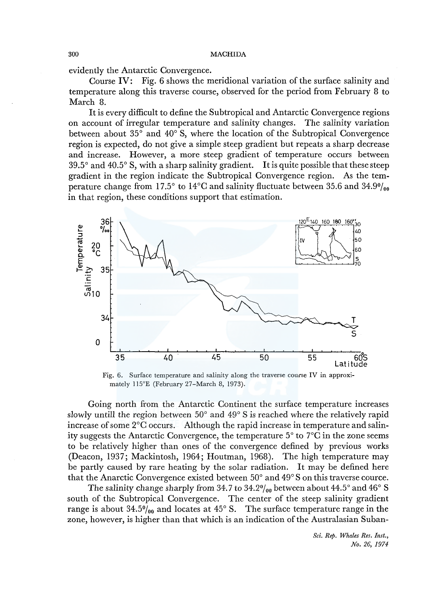evidently the Antarctic Convergence.

Course IV: Fig. 6 shows the meridional variation of the surface salinity and temperature along this traverse course, observed for the period from February 8 to March 8.

It is every difficult to define the Subtropical and Antarctic Convergence regions on account of irregular temperature and salinity changes. The salinity variation between about 35° and 40° S, where the location of the Subtropical Convergence region is expected, do not give a simple steep gradient but repeats a sharp decrease and increase. However, a more steep gradient of temperature occurs between  $39.5^{\circ}$  and  $40.5^{\circ}$  S, with a sharp salinity gradient. It is quite possible that these steep gradient in the region indicate the Subtropical Convergence region. As the temperature change from 17.5 $^{\circ}$  to 14 $^{\circ}$ C and salinity fluctuate between 35.6 and 34.9 $\frac{9}{100}$ in that region, these conditions support that estimation.



Fig. 6. Surface temperature and salinity along the traverse course IV in approximately 115°E (February 27-March 8, 1973).

Going north from the Antarctic Continent the surface temperature increases slowly untill the region between 50° and 49° S is reached where the relatively rapid increase of some 2°C occurs. Although the rapid increase in temperature and salinity suggests the Antarctic Convergence, the temperature  $5^{\circ}$  to  $7^{\circ}$ C in the zone seems to be relatively higher than ones of the convergence defined by previous works (Deacon, 1937; Mackintosh, 1964; Houtman, 1968). The high temperature may be partly caused by rare heating by the solar radiation. It may be defined here that the Anarctic Convergence existed between 50° and 49° S on this traverse cource.

The salinity change sharply from 34.7 to 34.2% between about 44.5° and 46° S south of the Subtropical Convergence. The center of the steep salinity gradient range is about  $34.5\%$ <sub>00</sub> and locates at  $45^{\circ}$  S. The surface temperature range in the zone, however, is higher than that which is an indication of the Australasian Suban-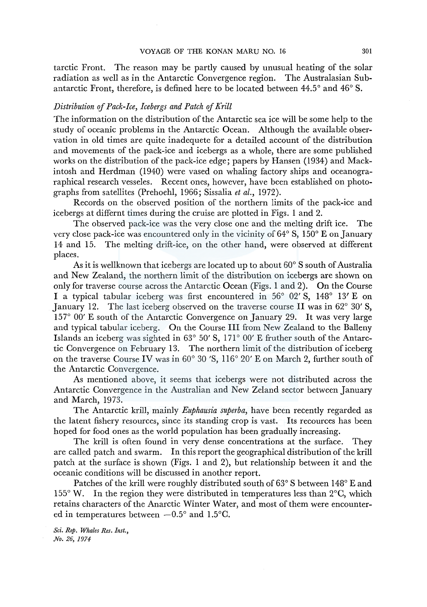tarctic Front. The reason may be partly caused by unusual heating of the solar radiation as well as in the Antarctic Convergence region. antarctic Front, therefore, is defined here to be located between 44.5° and 46° S.

# *Distribution* of *Pack-Ice, Icebergs and Patch* of *Krill*

The information on the distribution of the Antarctic sea ice will be some help to the study of oceanic problems in the Antarctic Ocean. Although the available observation in old times are quite inadequete for a detailed account of the distribution and movements of the pack-ice and icebergs as a whole, there are some published works on the distribution of the pack-ice edge; papers by Hansen (1934) and Mackintosh and Herdman (1940) were vased on whaling factory ships and oceanograraphical research vesseles. Recent ones, however, have been established on photographs from satellites (Prehoehl, 1966; Sissalia *et al.,* 1972).

Records on the observed position of the northern limits of the pack-ice and icebergs at differnt times during the cruise are plotted in Figs. 1 and 2.

The observed pack-ice was the very close one and the melting drift ice. The very close pack-ice was encountered only in the vicinity of  $64^{\circ}$  S,  $150^{\circ}$  E on January 14 and 15. The melting drift-ice, on the other hand, were observed at different places.

As it is wellknown that icebergs are located up to about 60° S south of Australia and New Zealand, the northern limit of the distribution on icebergs are shown on only for traverse course across the Antarctic Ocean (Figs. 1 and 2). On the Course I a typical tabular iceberg was first encountered in 56° 02' S, 148° 13' E on January 12. The last iceberg observed on the traverse course II was in  $62^{\circ}$  30' S, 157° 00' E south of the Antarctic Convergence on January 29. It was very large and typical tabular iceberg. On the Course III from New Zealand to the Balleny Islands an iceberg was sighted in 63° 50' S, 171° 00' E fruther south of the Antarctic Convergence on February 13. The northern limit of the distribution of iceberg on the traverse Course IV was in 60° 30 'S, 116° 20' Eon March 2, further south of the Antarctic Convergence.

As mentioned above, it seems that icebergs were not distributed across the Antarctic Convergence in the Australian and New Zeland sector between January and March, 1973.

The Antarctic krill, mainly *Euphausia superba,* have been recently regarded as the latent fishery resources, since its standing crop is vast. Its recources has been hoped for food ones as the world population has been gradually increasing.

The krill is often found in very dense concentrations at the surface. They are called patch and swarm. In this report the geographical distribution of the krill patch at the surface is shown (Figs. 1 and 2), but relationship between it and the oceanic conditions will be discussed in another report.

Patches of the krill were roughly distributed south of  $63^{\circ}$  S between  $148^{\circ}$  E and  $155^{\circ}$  W. In the region they were distributed in temperatures less than  $2^{\circ}$ C, which retains characters of the Anarctic Winter Water, and most of them were encountered in temperatures between  $-0.5^{\circ}$  and 1.5 $^{\circ}$ C.